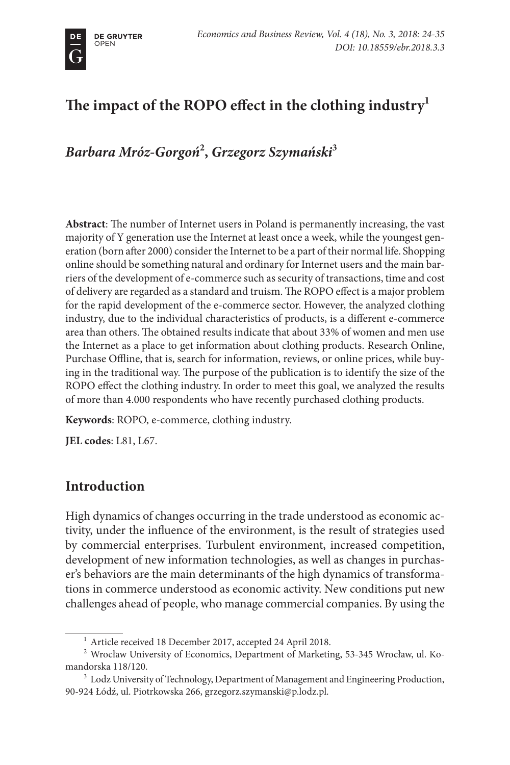# **The impact of the ROPO effect in the clothing industry1**

*Barbara Mróz-Gorgoń***<sup>2</sup> ,** *Grzegorz Szymański***<sup>3</sup>**

**Abstract**: The number of Internet users in Poland is permanently increasing, the vast majority of Y generation use the Internet at least once a week, while the youngest generation (born after 2000) consider the Internet to be a part of their normal life. Shopping online should be something natural and ordinary for Internet users and the main barriers of the development of e-commerce such as security of transactions, time and cost of delivery are regarded as a standard and truism. The ROPO effect is a major problem for the rapid development of the e-commerce sector. However, the analyzed clothing industry, due to the individual characteristics of products, is a different e-commerce area than others. The obtained results indicate that about 33% of women and men use the Internet as a place to get information about clothing products. Research Online, Purchase Offline, that is, search for information, reviews, or online prices, while buying in the traditional way. The purpose of the publication is to identify the size of the ROPO effect the clothing industry. In order to meet this goal, we analyzed the results of more than 4.000 respondents who have recently purchased clothing products.

**Keywords**: ROPO, e-commerce, clothing industry.

**JEL codes**: L81, L67.

### **Introduction**

High dynamics of changes occurring in the trade understood as economic activity, under the influence of the environment, is the result of strategies used by commercial enterprises. Turbulent environment, increased competition, development of new information technologies, as well as changes in purchaser's behaviors are the main determinants of the high dynamics of transformations in commerce understood as economic activity. New conditions put new challenges ahead of people, who manage commercial companies. By using the

<sup>&</sup>lt;sup>1</sup> Article received 18 December 2017, accepted 24 April 2018.

<sup>2</sup> Wrocław University of Economics, Department of Marketing, 53-345 Wrocław, ul. Komandorska 118/120.

<sup>&</sup>lt;sup>3</sup> Lodz University of Technology, Department of Management and Engineering Production, 90-924 Łódź, ul. Piotrkowska 266, grzegorz.szymanski@p.lodz.pl.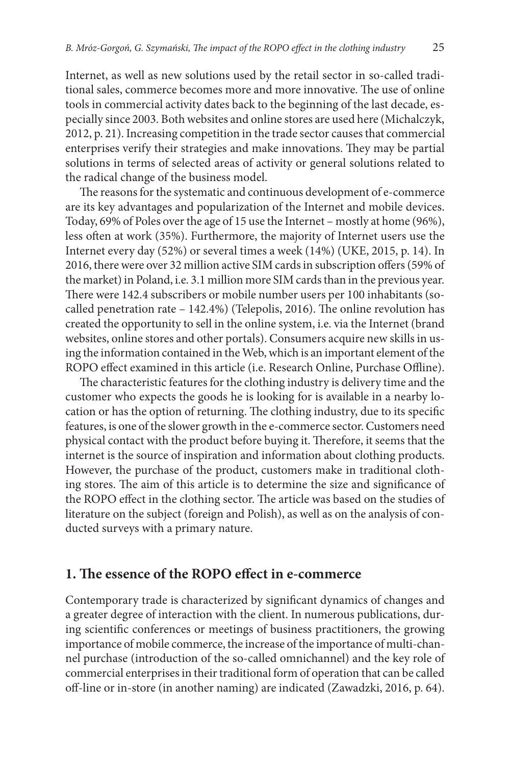Internet, as well as new solutions used by the retail sector in so-called traditional sales, commerce becomes more and more innovative. The use of online tools in commercial activity dates back to the beginning of the last decade, especially since 2003. Both websites and online stores are used here (Michalczyk, 2012, p. 21). Increasing competition in the trade sector causes that commercial enterprises verify their strategies and make innovations. They may be partial solutions in terms of selected areas of activity or general solutions related to the radical change of the business model.

The reasons for the systematic and continuous development of e-commerce are its key advantages and popularization of the Internet and mobile devices. Today, 69% of Poles over the age of 15 use the Internet – mostly at home (96%), less often at work (35%). Furthermore, the majority of Internet users use the Internet every day (52%) or several times a week (14%) (UKE, 2015, p. 14). In 2016, there were over 32 million active SIM cards in subscription offers (59% of the market) in Poland, i.e. 3.1 million more SIM cards than in the previous year. There were 142.4 subscribers or mobile number users per 100 inhabitants (socalled penetration rate – 142.4%) (Telepolis, 2016). The online revolution has created the opportunity to sell in the online system, i.e. via the Internet (brand websites, online stores and other portals). Consumers acquire new skills in using the information contained in the Web, which is an important element of the ROPO effect examined in this article (i.e. Research Online, Purchase Offline).

The characteristic features for the clothing industry is delivery time and the customer who expects the goods he is looking for is available in a nearby location or has the option of returning. The clothing industry, due to its specific features, is one of the slower growth in the e-commerce sector. Customers need physical contact with the product before buying it. Therefore, it seems that the internet is the source of inspiration and information about clothing products. However, the purchase of the product, customers make in traditional clothing stores. The aim of this article is to determine the size and significance of the ROPO effect in the clothing sector. The article was based on the studies of literature on the subject (foreign and Polish), as well as on the analysis of conducted surveys with a primary nature.

#### **1. The essence of the ROPO effect in e-commerce**

Contemporary trade is characterized by significant dynamics of changes and a greater degree of interaction with the client. In numerous publications, during scientific conferences or meetings of business practitioners, the growing importance of mobile commerce, the increase of the importance of multi-channel purchase (introduction of the so-called omnichannel) and the key role of commercial enterprises in their traditional form of operation that can be called off-line or in-store (in another naming) are indicated (Zawadzki, 2016, p. 64).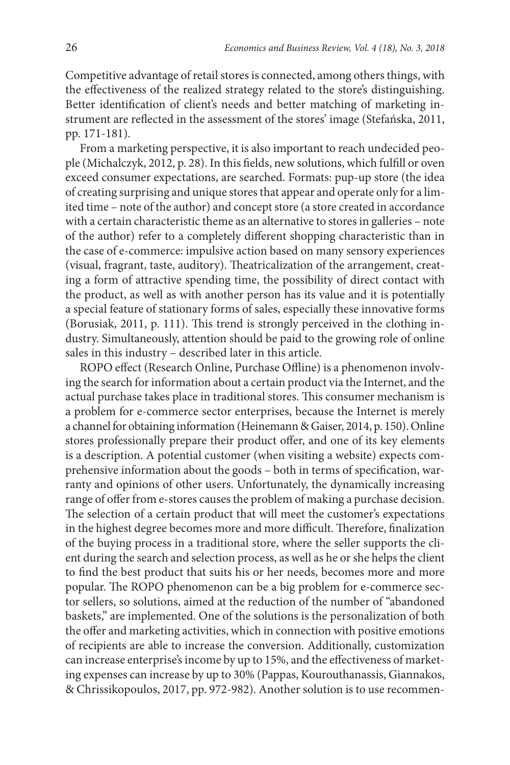Competitive advantage of retail stores is connected, among others things, with the effectiveness of the realized strategy related to the store's distinguishing. Better identification of client's needs and better matching of marketing instrument are reflected in the assessment of the stores' image (Stefańska, 2011, pp. 171-181).

From a marketing perspective, it is also important to reach undecided people (Michalczyk, 2012, p. 28). In this fields, new solutions, which fulfill or oven exceed consumer expectations, are searched. Formats: pup-up store (the idea of creating surprising and unique stores that appear and operate only for a limited time – note of the author) and concept store (a store created in accordance with a certain characteristic theme as an alternative to stores in galleries – note of the author) refer to a completely different shopping characteristic than in the case of e-commerce: impulsive action based on many sensory experiences (visual, fragrant, taste, auditory). Theatricalization of the arrangement, creating a form of attractive spending time, the possibility of direct contact with the product, as well as with another person has its value and it is potentially a special feature of stationary forms of sales, especially these innovative forms (Borusiak, 2011, p. 111). This trend is strongly perceived in the clothing industry. Simultaneously, attention should be paid to the growing role of online sales in this industry – described later in this article.

ROPO effect (Research Online, Purchase Offline) is a phenomenon involving the search for information about a certain product via the Internet, and the actual purchase takes place in traditional stores. This consumer mechanism is a problem for e-commerce sector enterprises, because the Internet is merely a channel for obtaining information (Heinemann & Gaiser, 2014, p. 150). Online stores professionally prepare their product offer, and one of its key elements is a description. A potential customer (when visiting a website) expects comprehensive information about the goods – both in terms of specification, warranty and opinions of other users. Unfortunately, the dynamically increasing range of offer from e-stores causes the problem of making a purchase decision. The selection of a certain product that will meet the customer's expectations in the highest degree becomes more and more difficult. Therefore, finalization of the buying process in a traditional store, where the seller supports the client during the search and selection process, as well as he or she helps the client to find the best product that suits his or her needs, becomes more and more popular. The ROPO phenomenon can be a big problem for e-commerce sector sellers, so solutions, aimed at the reduction of the number of "abandoned baskets," are implemented. One of the solutions is the personalization of both the offer and marketing activities, which in connection with positive emotions of recipients are able to increase the conversion. Additionally, customization can increase enterprise's income by up to 15%, and the effectiveness of marketing expenses can increase by up to 30% (Pappas, Kourouthanassis, Giannakos, & Chrissikopoulos, 2017, pp. 972-982). Another solution is to use recommen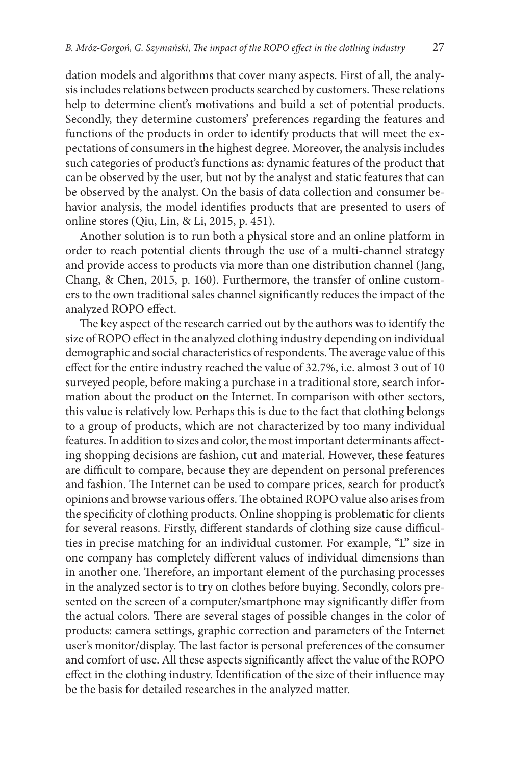dation models and algorithms that cover many aspects. First of all, the analysis includes relations between products searched by customers. These relations help to determine client's motivations and build a set of potential products. Secondly, they determine customers' preferences regarding the features and functions of the products in order to identify products that will meet the expectations of consumers in the highest degree. Moreover, the analysis includes such categories of product's functions as: dynamic features of the product that can be observed by the user, but not by the analyst and static features that can be observed by the analyst. On the basis of data collection and consumer behavior analysis, the model identifies products that are presented to users of online stores (Qiu, Lin, & Li, 2015, p. 451).

Another solution is to run both a physical store and an online platform in order to reach potential clients through the use of a multi-channel strategy and provide access to products via more than one distribution channel (Jang, Chang, & Chen, 2015, p. 160). Furthermore, the transfer of online customers to the own traditional sales channel significantly reduces the impact of the analyzed ROPO effect.

The key aspect of the research carried out by the authors was to identify the size of ROPO effect in the analyzed clothing industry depending on individual demographic and social characteristics of respondents. The average value of this effect for the entire industry reached the value of 32.7%, i.e. almost 3 out of 10 surveyed people, before making a purchase in a traditional store, search information about the product on the Internet. In comparison with other sectors, this value is relatively low. Perhaps this is due to the fact that clothing belongs to a group of products, which are not characterized by too many individual features. In addition to sizes and color, the most important determinants affecting shopping decisions are fashion, cut and material. However, these features are difficult to compare, because they are dependent on personal preferences and fashion. The Internet can be used to compare prices, search for product's opinions and browse various offers. The obtained ROPO value also arises from the specificity of clothing products. Online shopping is problematic for clients for several reasons. Firstly, different standards of clothing size cause difficulties in precise matching for an individual customer. For example, "L" size in one company has completely different values of individual dimensions than in another one. Therefore, an important element of the purchasing processes in the analyzed sector is to try on clothes before buying. Secondly, colors presented on the screen of a computer/smartphone may significantly differ from the actual colors. There are several stages of possible changes in the color of products: camera settings, graphic correction and parameters of the Internet user's monitor/display. The last factor is personal preferences of the consumer and comfort of use. All these aspects significantly affect the value of the ROPO effect in the clothing industry. Identification of the size of their influence may be the basis for detailed researches in the analyzed matter.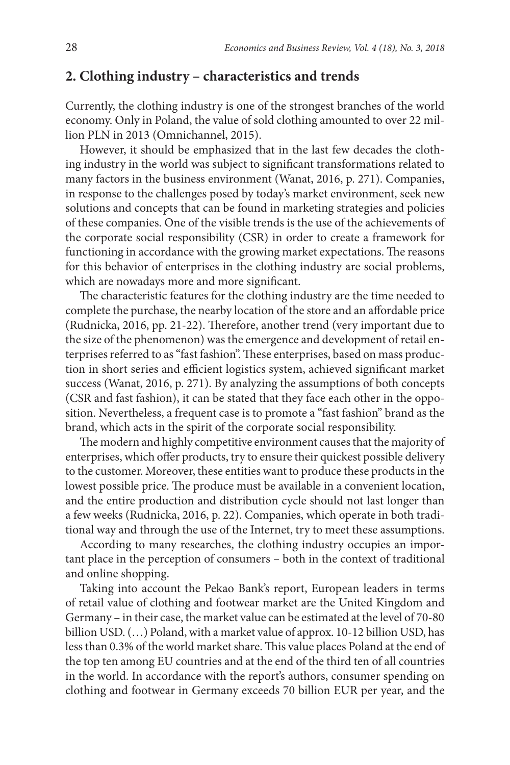### **2. Clothing industry – characteristics and trends**

Currently, the clothing industry is one of the strongest branches of the world economy. Only in Poland, the value of sold clothing amounted to over 22 million PLN in 2013 (Omnichannel, 2015).

However, it should be emphasized that in the last few decades the clothing industry in the world was subject to significant transformations related to many factors in the business environment (Wanat, 2016, p. 271). Companies, in response to the challenges posed by today's market environment, seek new solutions and concepts that can be found in marketing strategies and policies of these companies. One of the visible trends is the use of the achievements of the corporate social responsibility (CSR) in order to create a framework for functioning in accordance with the growing market expectations. The reasons for this behavior of enterprises in the clothing industry are social problems, which are nowadays more and more significant.

The characteristic features for the clothing industry are the time needed to complete the purchase, the nearby location of the store and an affordable price (Rudnicka, 2016, pp. 21-22). Therefore, another trend (very important due to the size of the phenomenon) was the emergence and development of retail enterprises referred to as "fast fashion". These enterprises, based on mass production in short series and efficient logistics system, achieved significant market success (Wanat, 2016, p. 271). By analyzing the assumptions of both concepts (CSR and fast fashion), it can be stated that they face each other in the opposition. Nevertheless, a frequent case is to promote a "fast fashion" brand as the brand, which acts in the spirit of the corporate social responsibility.

The modern and highly competitive environment causes that the majority of enterprises, which offer products, try to ensure their quickest possible delivery to the customer. Moreover, these entities want to produce these products in the lowest possible price. The produce must be available in a convenient location, and the entire production and distribution cycle should not last longer than a few weeks (Rudnicka, 2016, p. 22). Companies, which operate in both traditional way and through the use of the Internet, try to meet these assumptions.

According to many researches, the clothing industry occupies an important place in the perception of consumers – both in the context of traditional and online shopping.

Taking into account the Pekao Bank's report, European leaders in terms of retail value of clothing and footwear market are the United Kingdom and Germany – in their case, the market value can be estimated at the level of 70-80 billion USD. (…) Poland, with a market value of approx. 10-12 billion USD, has less than 0.3% of the world market share. This value places Poland at the end of the top ten among EU countries and at the end of the third ten of all countries in the world. In accordance with the report's authors, consumer spending on clothing and footwear in Germany exceeds 70 billion EUR per year, and the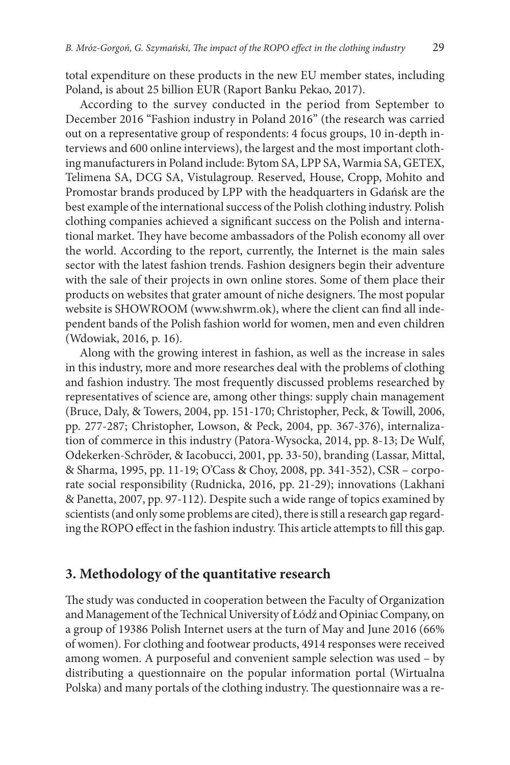total expenditure on these products in the new EU member states, including Poland, is about 25 billion EUR (Raport Banku Pekao, 2017).

According to the survey conducted in the period from September to December 2016 "Fashion industry in Poland 2016" (the research was carried out on a representative group of respondents: 4 focus groups, 10 in-depth interviews and 600 online interviews), the largest and the most important clothing manufacturers in Poland include: Bytom SA, LPP SA, Warmia SA, GETEX, Telimena SA, DCG SA, Vistulagroup. Reserved, House, Cropp, Mohito and Promostar brands produced by LPP with the headquarters in Gdańsk are the best example of the international success of the Polish clothing industry. Polish clothing companies achieved a significant success on the Polish and international market. They have become ambassadors of the Polish economy all over the world. According to the report, currently, the Internet is the main sales sector with the latest fashion trends. Fashion designers begin their adventure with the sale of their projects in own online stores. Some of them place their products on websites that grater amount of niche designers. The most popular website is SHOWROOM (www.shwrm.ok), where the client can find all independent bands of the Polish fashion world for women, men and even children (Wdowiak, 2016, p. 16).

Along with the growing interest in fashion, as well as the increase in sales in this industry, more and more researches deal with the problems of clothing and fashion industry. The most frequently discussed problems researched by representatives of science are, among other things: supply chain management (Bruce, Daly, & Towers, 2004, pp. 151-170; Christopher, Peck, & Towill, 2006, pp. 277-287; Christopher, Lowson, & Peck, 2004, pp. 367-376), internalization of commerce in this industry (Patora-Wysocka, 2014, pp. 8-13; De Wulf, Odekerken-Schröder, & Iacobucci, 2001, pp. 33-50), branding (Lassar, Mittal, & Sharma, 1995, pp. 11-19; O'Cass & Choy, 2008, pp. 341-352), CSR – corporate social responsibility (Rudnicka, 2016, pp. 21-29); innovations (Lakhani & Panetta, 2007, pp. 97-112). Despite such a wide range of topics examined by scientists (and only some problems are cited), there is still a research gap regarding the ROPO effect in the fashion industry. This article attempts to fill this gap.

#### **3. Methodology of the quantitative research**

The study was conducted in cooperation between the Faculty of Organization and Management of the Technical University of Łódź and Opiniac Company, on a group of 19386 Polish Internet users at the turn of May and June 2016 (66% of women). For clothing and footwear products, 4914 responses were received among women. A purposeful and convenient sample selection was used – by distributing a questionnaire on the popular information portal (Wirtualna Polska) and many portals of the clothing industry. The questionnaire was a re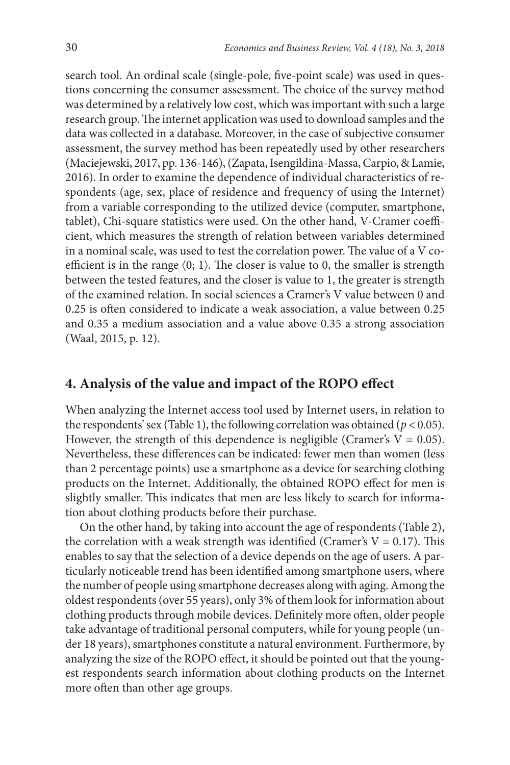search tool. An ordinal scale (single-pole, five-point scale) was used in questions concerning the consumer assessment. The choice of the survey method was determined by a relatively low cost, which was important with such a large research group. The internet application was used to download samples and the data was collected in a database. Moreover, in the case of subjective consumer assessment, the survey method has been repeatedly used by other researchers (Maciejewski, 2017, pp. 136-146), (Zapata, Isengildina-Massa, Carpio, & Lamie, 2016). In order to examine the dependence of individual characteristics of respondents (age, sex, place of residence and frequency of using the Internet) from a variable corresponding to the utilized device (computer, smartphone, tablet), Chi-square statistics were used. On the other hand, V-Cramer coefficient, which measures the strength of relation between variables determined in a nominal scale, was used to test the correlation power. The value of a V coefficient is in the range  $(0; 1)$ . The closer is value to 0, the smaller is strength between the tested features, and the closer is value to 1, the greater is strength of the examined relation. In social sciences a Cramer's V value between 0 and 0.25 is often considered to indicate a weak association, a value between 0.25 and 0.35 a medium association and a value above 0.35 a strong association (Waal, 2015, p. 12).

### **4. Analysis of the value and impact of the ROPO effect**

When analyzing the Internet access tool used by Internet users, in relation to the respondents' sex (Table 1), the following correlation was obtained ( $p < 0.05$ ). However, the strength of this dependence is negligible (Cramer's  $V = 0.05$ ). Nevertheless, these differences can be indicated: fewer men than women (less than 2 percentage points) use a smartphone as a device for searching clothing products on the Internet. Additionally, the obtained ROPO effect for men is slightly smaller. This indicates that men are less likely to search for information about clothing products before their purchase.

On the other hand, by taking into account the age of respondents (Table 2), the correlation with a weak strength was identified (Cramer's  $V = 0.17$ ). This enables to say that the selection of a device depends on the age of users. A particularly noticeable trend has been identified among smartphone users, where the number of people using smartphone decreases along with aging. Among the oldest respondents (over 55 years), only 3% of them look for information about clothing products through mobile devices. Definitely more often, older people take advantage of traditional personal computers, while for young people (under 18 years), smartphones constitute a natural environment. Furthermore, by analyzing the size of the ROPO effect, it should be pointed out that the youngest respondents search information about clothing products on the Internet more often than other age groups.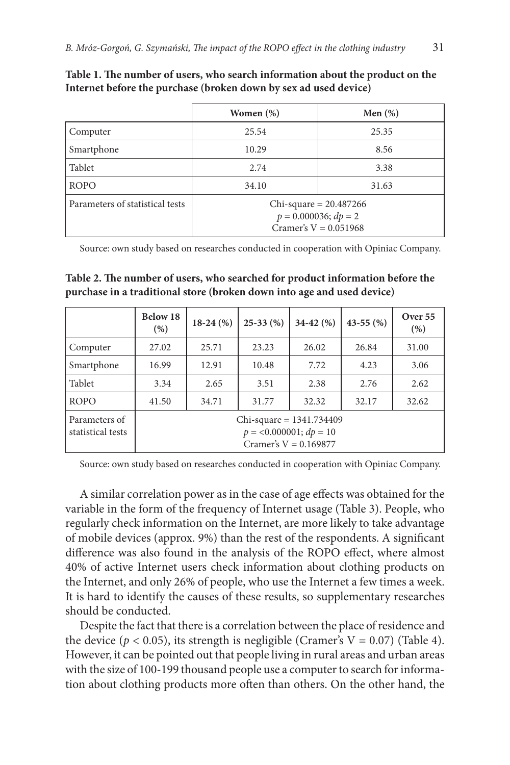|                                 | Women $(\%)$                                                                  | Men $(\%)$ |  |  |
|---------------------------------|-------------------------------------------------------------------------------|------------|--|--|
| Computer                        | 25.54                                                                         | 25.35      |  |  |
| Smartphone                      | 10.29                                                                         | 8.56       |  |  |
| Tablet                          | 2.74                                                                          | 3.38       |  |  |
| <b>ROPO</b>                     | 34.10                                                                         | 31.63      |  |  |
| Parameters of statistical tests | Chi-square = $20.487266$<br>$p = 0.000036; dp = 2$<br>Cramer's $V = 0.051968$ |            |  |  |

**Table 1. The number of users, who search information about the product on the Internet before the purchase (broken down by sex ad used device)**

Source: own study based on researches conducted in cooperation with Opiniac Company.

**Table 2. The number of users, who searched for product information before the purchase in a traditional store (broken down into age and used device)**

|                                    | Below 18<br>(% )                                                                    | $18-24(%)$ | $25-33(%)$ | $34-42(%)$ | 43-55 $(\%)$ | Over 55<br>(% ) |
|------------------------------------|-------------------------------------------------------------------------------------|------------|------------|------------|--------------|-----------------|
| Computer                           | 27.02                                                                               | 25.71      | 23.23      | 26.02      | 26.84        | 31.00           |
| Smartphone                         | 16.99                                                                               | 12.91      | 10.48      | 7.72       | 4.23         | 3.06            |
| Tablet                             | 3.34                                                                                | 2.65       | 3.51       | 2.38       | 2.76         | 2.62            |
| <b>ROPO</b>                        | 41.50                                                                               | 34.71      | 31.77      | 32.32      | 32.17        | 32.62           |
| Parameters of<br>statistical tests | Chi-square = $1341.734409$<br>$p = 0.000001$ ; $dp = 10$<br>Cramer's $V = 0.169877$ |            |            |            |              |                 |

Source: own study based on researches conducted in cooperation with Opiniac Company.

A similar correlation power as in the case of age effects was obtained for the variable in the form of the frequency of Internet usage (Table 3). People, who regularly check information on the Internet, are more likely to take advantage of mobile devices (approx. 9%) than the rest of the respondents. A significant difference was also found in the analysis of the ROPO effect, where almost 40% of active Internet users check information about clothing products on the Internet, and only 26% of people, who use the Internet a few times a week. It is hard to identify the causes of these results, so supplementary researches should be conducted.

Despite the fact that there is a correlation between the place of residence and the device ( $p < 0.05$ ), its strength is negligible (Cramer's V = 0.07) (Table 4). However, it can be pointed out that people living in rural areas and urban areas with the size of 100-199 thousand people use a computer to search for information about clothing products more often than others. On the other hand, the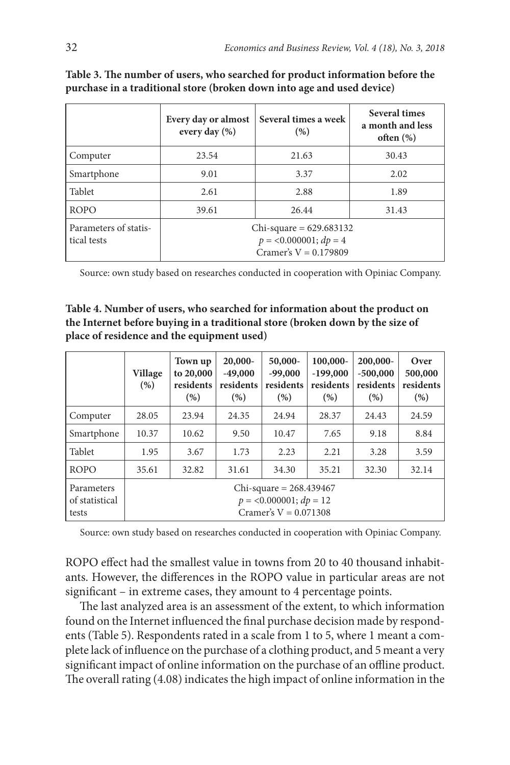|                                      | Every day or almost<br>every day $(\%)$                                        | Several times a week<br>(%) | Several times<br>a month and less<br>often $(\%)$ |
|--------------------------------------|--------------------------------------------------------------------------------|-----------------------------|---------------------------------------------------|
| Computer                             | 23.54                                                                          | 21.63                       | 30.43                                             |
| Smartphone                           | 9.01                                                                           | 3.37                        | 2.02                                              |
| Tablet                               | 2.61                                                                           | 2.88                        | 1.89                                              |
| <b>ROPO</b>                          | 39.61                                                                          | 26.44                       | 31.43                                             |
| Parameters of statis-<br>tical tests | Chi-square = $629.683132$<br>$p = 0.000001; dp = 4$<br>Cramer's $V = 0.179809$ |                             |                                                   |

**Table 3. The number of users, who searched for product information before the purchase in a traditional store (broken down into age and used device)**

Source: own study based on researches conducted in cooperation with Opiniac Company.

**Table 4. Number of users, who searched for information about the product on the Internet before buying in a traditional store (broken down by the size of place of residence and the equipment used)**

|                                       | <b>Village</b><br>(% )                                                             | Town up<br>to 20,000<br>residents<br>(% ) | $20,000-$<br>$-49,000$<br>residents<br>(% ) | 50,000-<br>$-99,000$<br>residents<br>(% ) | 100,000-<br>$-199,000$<br>residents<br>(% ) | 200,000-<br>$-500,000$<br>residents<br>(% ) | Over<br>500,000<br>residents<br>(%) |
|---------------------------------------|------------------------------------------------------------------------------------|-------------------------------------------|---------------------------------------------|-------------------------------------------|---------------------------------------------|---------------------------------------------|-------------------------------------|
| Computer                              | 28.05                                                                              | 23.94                                     | 24.35                                       | 24.94                                     | 28.37                                       | 24.43                                       | 24.59                               |
| Smartphone                            | 10.37                                                                              | 10.62                                     | 9.50                                        | 10.47                                     | 7.65                                        | 9.18                                        | 8.84                                |
| Tablet                                | 1.95                                                                               | 3.67                                      | 1.73                                        | 2.23                                      | 2.21                                        | 3.28                                        | 3.59                                |
| <b>ROPO</b>                           | 35.61                                                                              | 32.82                                     | 31.61                                       | 34.30                                     | 35.21                                       | 32.30                                       | 32.14                               |
| Parameters<br>of statistical<br>tests | Chi-square = $268.439467$<br>$p = 0.000001$ ; $dp = 12$<br>Cramer's $V = 0.071308$ |                                           |                                             |                                           |                                             |                                             |                                     |

Source: own study based on researches conducted in cooperation with Opiniac Company.

ROPO effect had the smallest value in towns from 20 to 40 thousand inhabitants. However, the differences in the ROPO value in particular areas are not significant – in extreme cases, they amount to 4 percentage points.

The last analyzed area is an assessment of the extent, to which information found on the Internet influenced the final purchase decision made by respondents (Table 5). Respondents rated in a scale from 1 to 5, where 1 meant a complete lack of influence on the purchase of a clothing product, and 5 meant a very significant impact of online information on the purchase of an offline product. The overall rating (4.08) indicates the high impact of online information in the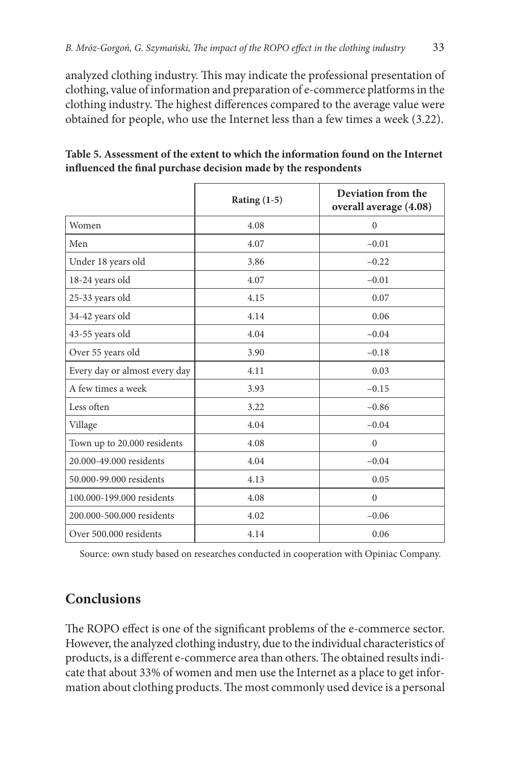analyzed clothing industry. This may indicate the professional presentation of clothing, value of information and preparation of e-commerce platforms in the clothing industry. The highest differences compared to the average value were obtained for people, who use the Internet less than a few times a week (3.22).

|                               | Rating $(1-5)$ | Deviation from the<br>overall average (4.08) |
|-------------------------------|----------------|----------------------------------------------|
| Women                         | 4.08           | $\mathbf{0}$                                 |
| Men                           | 4.07           | $-0.01$                                      |
| Under 18 years old            | 3.86           | $-0.22$                                      |
| 18-24 years old               | 4.07           | $-0.01$                                      |
| 25-33 years old               | 4.15           | 0.07                                         |
| 34-42 years old               | 4.14           | 0.06                                         |
| 43-55 years old               | 4.04           | $-0.04$                                      |
| Over 55 years old             | 3.90           | $-0.18$                                      |
| Every day or almost every day | 4.11           | 0.03                                         |
| A few times a week            | 3.93           | $-0.15$                                      |
| Less often                    | 3.22           | $-0.86$                                      |
| Village                       | 4.04           | $-0.04$                                      |
| Town up to 20.000 residents   | 4.08           | $\mathbf{0}$                                 |
| 20.000-49.000 residents       | 4.04           | $-0.04$                                      |
| 50.000-99.000 residents       | 4.13           | 0.05                                         |
| 100.000-199.000 residents     | 4.08           | $\Omega$                                     |
| 200.000-500.000 residents     | 4.02           | $-0.06$                                      |
| Over 500,000 residents        | 4.14           | 0.06                                         |

**Table 5. Assessment of the extent to which the information found on the Internet influenced the final purchase decision made by the respondents**

Source: own study based on researches conducted in cooperation with Opiniac Company.

## **Conclusions**

The ROPO effect is one of the significant problems of the e-commerce sector. However, the analyzed clothing industry, due to the individual characteristics of products, is a different e-commerce area than others. The obtained results indicate that about 33% of women and men use the Internet as a place to get information about clothing products. The most commonly used device is a personal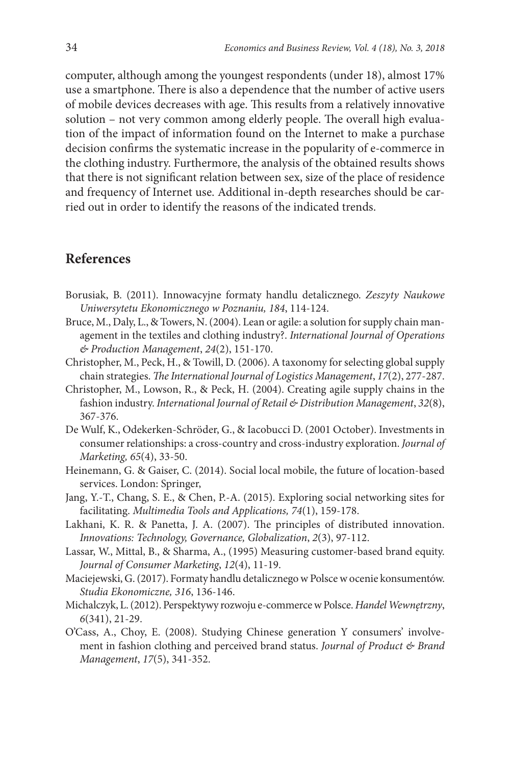computer, although among the youngest respondents (under 18), almost 17% use a smartphone. There is also a dependence that the number of active users of mobile devices decreases with age. This results from a relatively innovative solution – not very common among elderly people. The overall high evaluation of the impact of information found on the Internet to make a purchase decision confirms the systematic increase in the popularity of e-commerce in the clothing industry. Furthermore, the analysis of the obtained results shows that there is not significant relation between sex, size of the place of residence and frequency of Internet use. Additional in-depth researches should be carried out in order to identify the reasons of the indicated trends.

#### **References**

- Borusiak, B. (2011). Innowacyjne formaty handlu detalicznego. *Zeszyty Naukowe Uniwersytetu Ekonomicznego w Poznaniu, 184*, 114-124.
- Bruce, M., Daly, L., & Towers, N. (2004). Lean or agile: a solution for supply chain management in the textiles and clothing industry?. *International Journal of Operations & Production Management*, *24*(2), 151-170.
- Christopher, M., Peck, H., & Towill, D. (2006). A taxonomy for selecting global supply chain strategies. *The International Journal of Logistics Management*, *17*(2), 277-287.
- Christopher, M., Lowson, R., & Peck, H. (2004). Creating agile supply chains in the fashion industry. *International Journal of Retail & Distribution Management*, *32*(8), 367-376.
- De Wulf, K., Odekerken-Schröder, G., & Iacobucci D. (2001 October). Investments in consumer relationships: a cross-country and cross-industry exploration. *Journal of Marketing, 65*(4), 33-50.
- Heinemann, G. & Gaiser, C. (2014). Social local mobile, the future of location-based services. London: Springer,
- Jang, Y.-T., Chang, S. E., & Chen, P.-A. (2015). Exploring social networking sites for facilitating. *Multimedia Tools and Applications, 74*(1), 159-178.
- Lakhani, K. R. & Panetta, J. A. (2007). The principles of distributed innovation. *Innovations: Technology, Governance, Globalization*, *2*(3), 97-112.
- Lassar, W., Mittal, B., & Sharma, A., (1995) Measuring customer‐based brand equity. *Journal of Consumer Marketing*, *12*(4), 11-19.
- Maciejewski, G. (2017). Formaty handlu detalicznego w Polsce w ocenie konsumentów. *Studia Ekonomiczne, 316*, 136-146.
- Michalczyk, L. (2012). Perspektywy rozwoju e-commerce w Polsce. *Handel Wewnętrzny*, *6*(341), 21-29.
- O'Cass, A., Choy, E. (2008). Studying Chinese generation Y consumers' involvement in fashion clothing and perceived brand status. *Journal of Product & Brand Management*, *17*(5), 341-352.